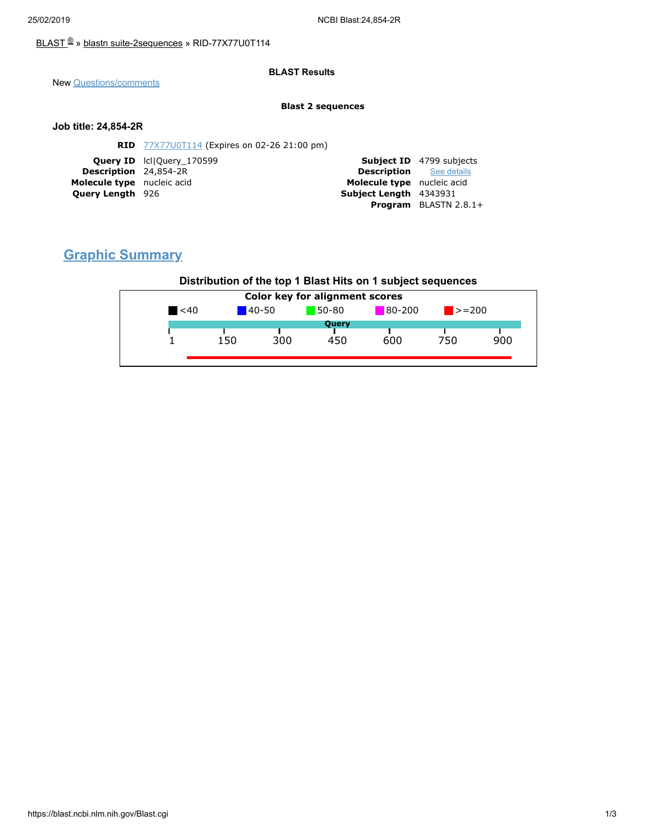### [BLAST](https://blast.ncbi.nlm.nih.gov/Blast.cgi) ® » blastn [suite-2sequences](https://blast.ncbi.nlm.nih.gov/Blast.cgi?PAGE=MegaBlast&PROGRAM=blastn&PAGE_TYPE=BlastSearch&BLAST_SPEC=blast2seq) » RID-77X77U0T114

#### **BLAST Results**

New [Questions/comments](https://support.nlm.nih.gov/knowledgebase/category/?id=CAT-01239)

#### **Blast 2 sequences**

#### **Job title: 24,854-2R**

|                                | <b>Subject ID</b> 4799 subjects |
|--------------------------------|---------------------------------|
| <b>Description</b> See details |                                 |
| Molecule type nucleic acid     |                                 |
| Subject Length 4343931         |                                 |
|                                | <b>Program</b> BLASTN $2.8.1+$  |
|                                |                                 |

# **Graphic Summary**

### **Distribution of the top 1 Blast Hits on 1 subject sequences**

| <b>Color key for alignment scores</b> |            |     |                         |     |                             |     |
|---------------------------------------|------------|-----|-------------------------|-----|-----------------------------|-----|
| $\leq 40$                             | $140 - 50$ |     | $80 - 200$<br>$50 - 80$ |     | $\blacktriangleright$ = 200 |     |
|                                       |            |     | Query                   |     |                             |     |
|                                       | 150        | 300 | 450                     | 600 | 750                         | 900 |
|                                       |            |     |                         |     |                             |     |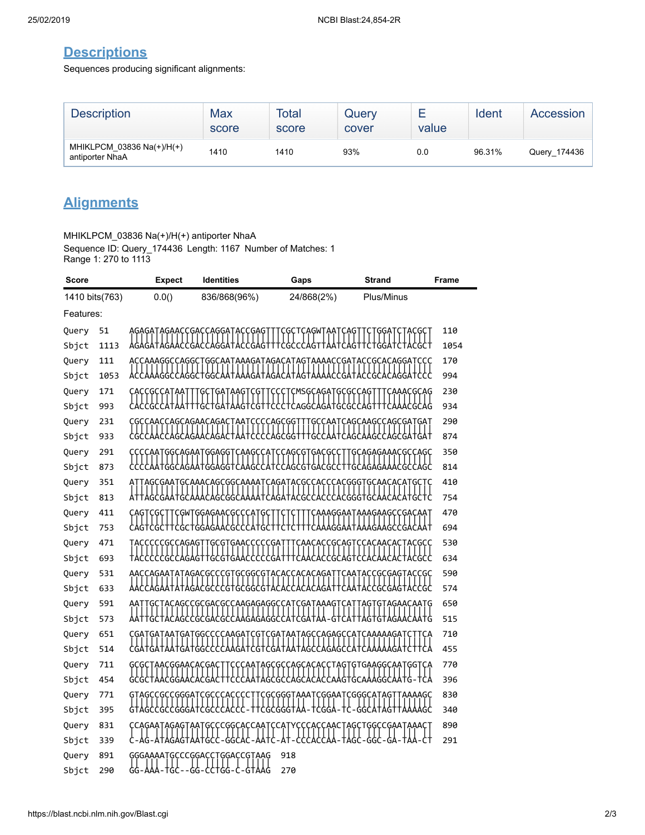## **Descriptions**

Sequences producing significant alignments:

| <b>Description</b>                           | Max<br>score | Total<br>score | Query<br>cover | value | Ident  | Accession    |
|----------------------------------------------|--------------|----------------|----------------|-------|--------|--------------|
| MHIKLPCM 03836 Na(+)/H(+)<br>antiporter NhaA | 1410         | 1410           | 93%            | 0.0   | 96.31% | Query_174436 |

# **Alignments**

MHIKLPCM\_03836 Na(+)/H(+) antiporter NhaA

Sequence ID: Query\_174436 Length: 1167 Number of Matches: 1 Range 1: 270 to 1113

| Score          |            | <b>Expect</b>             | <b>Identities</b>                                                                                              | Gaps                                    | <b>Strand</b>                                                | <b>Frame</b> |
|----------------|------------|---------------------------|----------------------------------------------------------------------------------------------------------------|-----------------------------------------|--------------------------------------------------------------|--------------|
| 1410 bits(763) |            | 0.0()                     | 836/868(96%)                                                                                                   | 24/868(2%)                              | Plus/Minus                                                   |              |
| Features:      |            |                           |                                                                                                                |                                         |                                                              |              |
| Query          | 51         |                           | AGAGATAGAACCGACCAGGATACCGAG                                                                                    | GCTCAGWTAA                              |                                                              | 110          |
| Sbjct          | 1113       |                           | AGAGATAGAACCGACCAGGATACCGAGTTTCGCCCAGTTAATCAGT                                                                 |                                         |                                                              | 1054         |
| Query          | 111        |                           |                                                                                                                |                                         | ACCAAAGGCCAGGCTGGCAATAAAGATAGACATAGTAAAACCGATACCGCACAGGATCCC | 170          |
| Sbjct          | 1053       | ACCAAAGGCCAGGCTGGCAATA    |                                                                                                                | AAGATAGACATAGTAA                        | AACCGATACCGCACAGGATCCC                                       | 994          |
| Query          | 171        |                           | GAT<br>AAG1<br>ÇĢ                                                                                              | CMSGCAGATGCGCCAG                        | ACGCAG                                                       | 230          |
| Sbjct          | 993        |                           |                                                                                                                | ;??+?Y+YY?+{?Y+\???+{Ye??Y?Y+???????+++ |                                                              | 934          |
| Query          | 231        | CGCCAACCAGCAGAACAGA       |                                                                                                                | <b>CCCCAGCGG</b><br>GCCAAT              | CAGCAAGCCAGCGATGAT                                           | 290          |
| Sbjct          | 933        |                           |                                                                                                                |                                         | cgccAAccAGcAGAAcAGACtAAtccccAGcGGtttGccAAtcAGcAAGccAGcGAtGAt | 874          |
| Query          | 291        | CCCCAATGGCAGAATGGAGGT     |                                                                                                                | CAAGCCATCCAGCGTGACGCCT                  | TGCAGAGAAACGCCAGC                                            | 350          |
| Sbjct          | 873        |                           |                                                                                                                |                                         | CCCCAATGGCAGAATGGAGGTCAAGCCATCCAGCGTGACGCCTTGCAGAGAAACGCCAGC | 814          |
| Query          | 351        |                           |                                                                                                                |                                         |                                                              | 410          |
| Sbjct          | 813        | ATTAGCGAATGCAAACAGCGGCAA  |                                                                                                                |                                         |                                                              | 754          |
| Query          | 411        | CGC.                      | <b>¢GWTGGAGAA¢G¢¢¢AT</b><br>ĢÇ                                                                                 |                                         | CAAAGGAATAAAGAAGCCGACAAT                                     | 470          |
| Sbjct          | 753        |                           | ╁┝╏╂┼┑┖╝┙╛┷┪╝┷┪┷┪┷┪┷┪┿┧╂┼┪                                                                                     |                                         | ┼┞┼┼┼┞ϒϒϒϨϨϓϯϒϒϯϒϓϓϘϓ                                        | 694          |
| Query          | 471        | TACCCCCGCCAGAG            | ĢÇĢŢ<br>·ĢĄĄĊĊĊĊĊĠĄ                                                                                            | ÇAACACCGCAGT                            | <b>ÇÇAÇAAÇAÇTACGÇÇ</b>                                       | 530          |
| Sbjct          | 693        |                           |                                                                                                                |                                         | TACCCCCCCCAGAGTTGCGTGAACCCCCGATTTCAACACCGCAGTCCACAACACTACGCC | 634          |
| Query          | 531        |                           | <u>AACCAGAATATAGACGCCCGTGCGGCGTACACCACACAGAT</u>                                                               |                                         | CAATACCGCGAGTACCGC                                           | 590          |
| Sbjct          | 633        |                           |                                                                                                                |                                         | AGAA†A†AGACGCCCG†GCGGCG†ACACCACACAGA††CAA†ACCGCGAG†ACCGC     | 574          |
| Query          | 591        |                           | ТАСАGССGСGACGCCAAGAGAGGCCATCGATAAAGT                                                                           |                                         | GTAGAACAATG<br>AGT                                           | 650          |
| Sbjct          | 573        |                           | TACAGCCGCGACGCCAAGAGAGGCCATCGATAA                                                                              |                                         |                                                              | 515          |
| Query          | 651        |                           | CGATGATAATGATGGCCCCAAGATCGTCGATAATAGCCAGAGCCATCAAAAAGATCT<br>GATAATGATGGCCCCAAGATCGTCGATAATAGCCAGAGCCATCAA     |                                         | ₩₹₽₹                                                         | 710          |
| Sbjct          | 514        |                           |                                                                                                                |                                         |                                                              | 455          |
| Query          | 711        | AACGGAACACGAC             | 8-8-8-4 AAGGAACACAACAA HAGAALA HAGAALA ALA HAGAALA AHAGAA HAGAA HAGAA HAGAA HAGAA HAGAA HAGAA HAGAA HAGAA HAGA |                                         | ҪҪҪӐӐҬѦĠҪĠҪҪӐĠҪӐҪѦҪҪҬѦĢҬĠŦĠӐӐĠĠҪӐӐҬĠĠŢ                       | 770          |
| Sbjct          | 454        |                           |                                                                                                                |                                         |                                                              | 396          |
| Query          | 771        | GTAGCCGCCGGGATCGCCCACCCCT |                                                                                                                | :CGCGGGTAAATCGGAATCGGGCATAGT            |                                                              | 830<br>340   |
| Sbjct          | 395        | CCGCCGGGAT                |                                                                                                                |                                         |                                                              |              |
| Query          | 831        |                           | CCAGAATAGAGTAATGCCCGGCACCAATCCAT                                                                               |                                         | YCCCACCAACTAGCTGGCCGAATAAA                                   | 890<br>291   |
| Sbjct          | 339<br>891 |                           | GGCAC                                                                                                          | 918                                     |                                                              |              |
| Query<br>Sbjct | 290        | ሩሩ<br>- AAA<br>-TGC       | GGGAAAATGCCCGGACCTGGACCGTAAG<br>- -99-55+99-5<br>&HYY                                                          | 270                                     |                                                              |              |